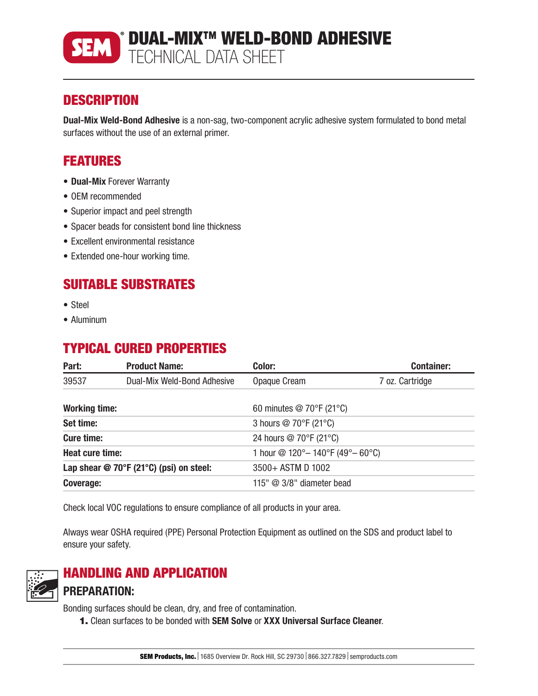

# **DESCRIPTION**

Dual-Mix Weld-Bond Adhesive is a non-sag, two-component acrylic adhesive system formulated to bond metal surfaces without the use of an external primer.

# FEATURES

- Dual-Mix Forever Warranty
- OEM recommended
- Superior impact and peel strength
- Spacer beads for consistent bond line thickness
- Excellent environmental resistance
- Extended one-hour working time.

## SUITABLE SUBSTRATES

- Steel
- Aluminum

## TYPICAL CURED PROPERTIES

| Part:                                     | <b>Product Name:</b>        | Color:                                                           | <b>Container:</b> |  |
|-------------------------------------------|-----------------------------|------------------------------------------------------------------|-------------------|--|
| 39537                                     | Dual-Mix Weld-Bond Adhesive | Opaque Cream                                                     | 7 oz. Cartridge   |  |
| <b>Working time:</b>                      |                             | 60 minutes $@$ 70 $\degree$ F (21 $\degree$ C)                   |                   |  |
| Set time:                                 |                             | 3 hours @ 70°F (21°C)                                            |                   |  |
| <b>Cure time:</b>                         |                             | 24 hours @ 70°F (21°C)                                           |                   |  |
| <b>Heat cure time:</b>                    |                             | 1 hour @ $120^{\circ} - 140^{\circ}F (49^{\circ} - 60^{\circ}C)$ |                   |  |
| Lap shear $@$ 70°F (21°C) (psi) on steel: |                             | 3500+ ASTM D 1002                                                |                   |  |
| Coverage:                                 |                             | 115" $@$ 3/8" diameter bead                                      |                   |  |

Check local VOC regulations to ensure compliance of all products in your area.

Always wear OSHA required (PPE) Personal Protection Equipment as outlined on the SDS and product label to ensure your safety.



# HANDLING AND APPLICATION

PREPARATION:

Bonding surfaces should be clean, dry, and free of contamination.

1. Clean surfaces to be bonded with SEM Solve or XXX Universal Surface Cleaner.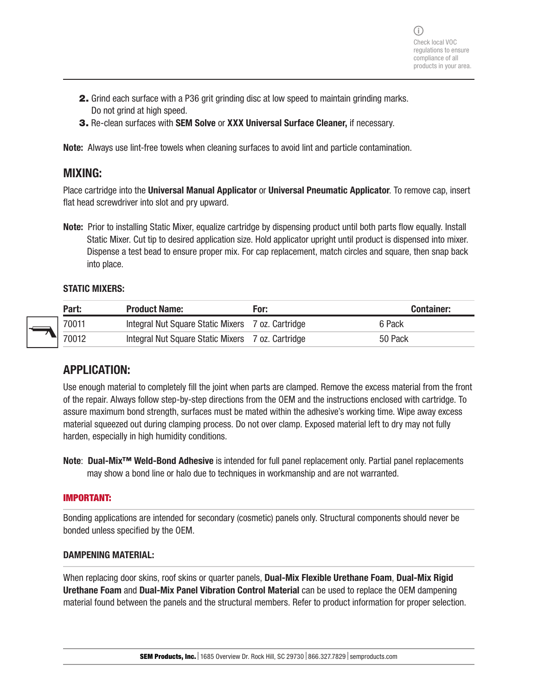- 2. Grind each surface with a P36 grit grinding disc at low speed to maintain grinding marks. Do not grind at high speed.
- 3. Re-clean surfaces with SEM Solve or XXX Universal Surface Cleaner, if necessary.

Note: Always use lint-free towels when cleaning surfaces to avoid lint and particle contamination.

### MIXING:

Place cartridge into the Universal Manual Applicator or Universal Pneumatic Applicator. To remove cap, insert flat head screwdriver into slot and pry upward.

Note: Prior to installing Static Mixer, equalize cartridge by dispensing product until both parts flow equally. Install Static Mixer. Cut tip to desired application size. Hold applicator upright until product is dispensed into mixer. Dispense a test bead to ensure proper mix. For cap replacement, match circles and square, then snap back into place.

#### STATIC MIXERS:

| Part: | <b>Product Name:</b>                              | For: | <b>Container:</b> |
|-------|---------------------------------------------------|------|-------------------|
| 70011 | Integral Nut Square Static Mixers 7 oz. Cartridge |      | 6 Pack            |
| 70012 | Integral Nut Square Static Mixers 7 oz. Cartridge |      | 50 Pack           |

### APPLICATION:

Use enough material to completely fill the joint when parts are clamped. Remove the excess material from the front of the repair. Always follow step-by-step directions from the OEM and the instructions enclosed with cartridge. To assure maximum bond strength, surfaces must be mated within the adhesive's working time. Wipe away excess material squeezed out during clamping process. Do not over clamp. Exposed material left to dry may not fully harden, especially in high humidity conditions.

Note: Dual-Mix<sup>™</sup> Weld-Bond Adhesive is intended for full panel replacement only. Partial panel replacements may show a bond line or halo due to techniques in workmanship and are not warranted.

#### IMPORTANT:

Bonding applications are intended for secondary (cosmetic) panels only. Structural components should never be bonded unless specified by the OEM.

#### DAMPENING MATERIAL:

When replacing door skins, roof skins or quarter panels, **Dual-Mix Flexible Urethane Foam, Dual-Mix Rigid** Urethane Foam and Dual-Mix Panel Vibration Control Material can be used to replace the OEM dampening material found between the panels and the structural members. Refer to product information for proper selection.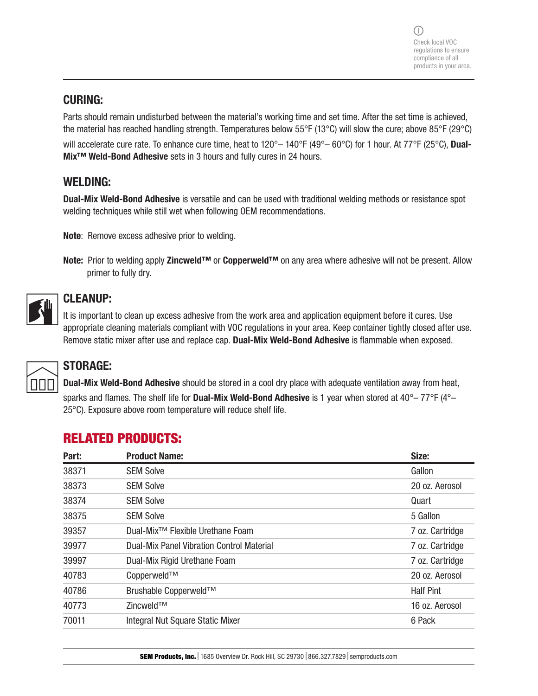### CURING:

Parts should remain undisturbed between the material's working time and set time. After the set time is achieved, the material has reached handling strength. Temperatures below 55°F (13°C) will slow the cure; above 85°F (29°C) will accelerate cure rate. To enhance cure time, heat to 120°– 140°F (49°– 60°C) for 1 hour. At 77°F (25°C), Dual-Mix™ Weld-Bond Adhesive sets in 3 hours and fully cures in 24 hours.

### WELDING:

Dual-Mix Weld-Bond Adhesive is versatile and can be used with traditional welding methods or resistance spot welding techniques while still wet when following OEM recommendations.

Note: Remove excess adhesive prior to welding.

Note: Prior to welding apply Zincweld™ or Copperweld™ on any area where adhesive will not be present. Allow primer to fully dry.



### CLEANUP:

It is important to clean up excess adhesive from the work area and application equipment before it cures. Use appropriate cleaning materials compliant with VOC regulations in your area. Keep container tightly closed after use. Remove static mixer after use and replace cap. Dual-Mix Weld-Bond Adhesive is flammable when exposed.



# STORAGE:

Dual-Mix Weld-Bond Adhesive should be stored in a cool dry place with adequate ventilation away from heat, sparks and flames. The shelf life for **Dual-Mix Weld-Bond Adhesive** is 1 year when stored at  $40^{\circ}$ –77°F ( $4^{\circ}$ – 25°C). Exposure above room temperature will reduce shelf life.

# RELATED PRODUCTS:

| <b>Product Name:</b>                             | Size:            |
|--------------------------------------------------|------------------|
| <b>SEM Solve</b>                                 | Gallon           |
| <b>SEM Solve</b>                                 | 20 oz. Aerosol   |
| <b>SEM Solve</b>                                 | Quart            |
| <b>SEM Solve</b>                                 | 5 Gallon         |
| Dual-Mix <sup>™</sup> Flexible Urethane Foam     | 7 oz. Cartridge  |
| <b>Dual-Mix Panel Vibration Control Material</b> | 7 oz. Cartridge  |
| Dual-Mix Rigid Urethane Foam                     | 7 oz. Cartridge  |
| Copperweld™                                      | 20 oz. Aerosol   |
| Brushable Copperweld™                            | <b>Half Pint</b> |
| Zincweld™                                        | 16 oz. Aerosol   |
| Integral Nut Square Static Mixer                 | 6 Pack           |
|                                                  |                  |